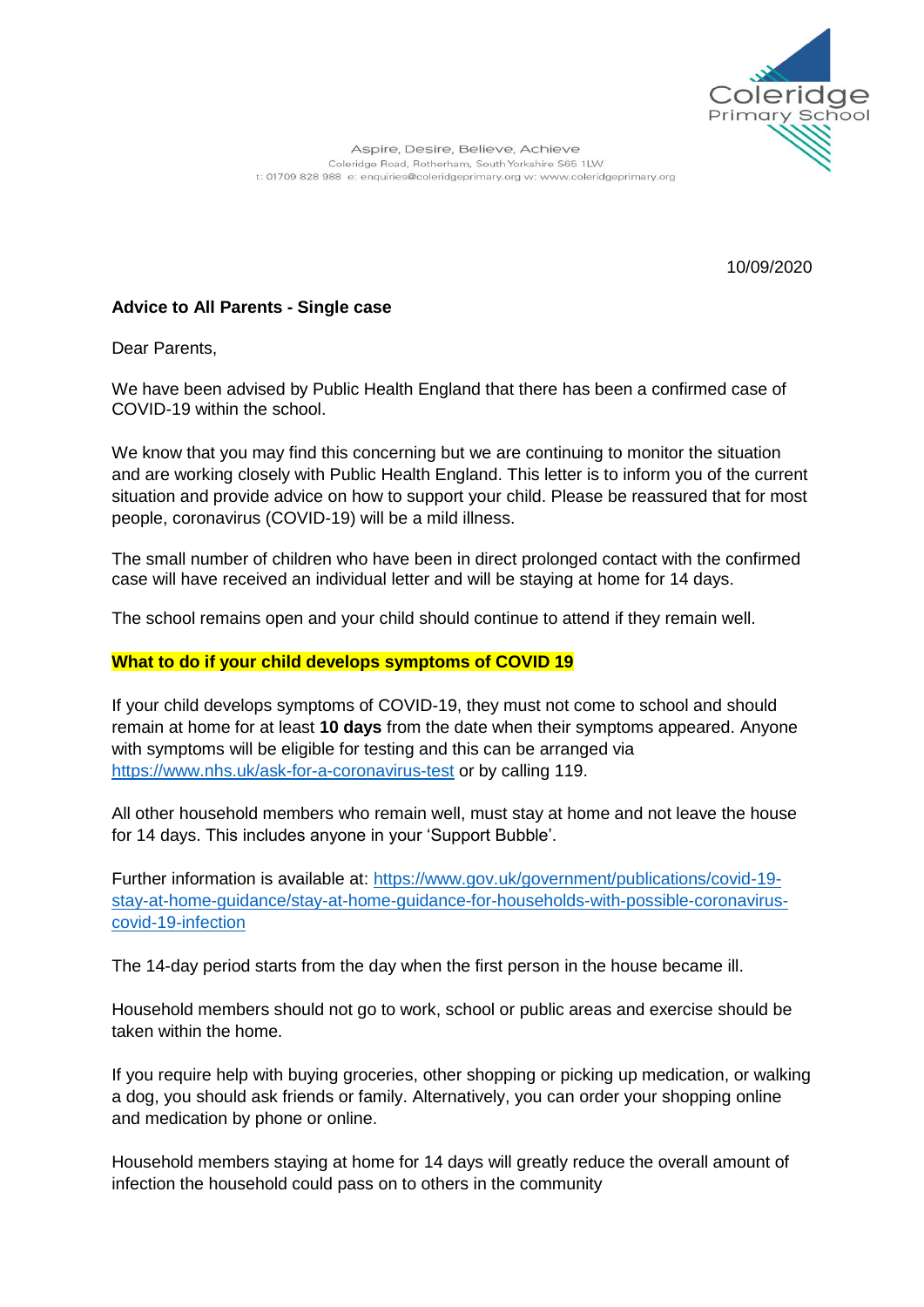

10/09/2020

# **Advice to All Parents - Single case**

Dear Parents,

We have been advised by Public Health England that there has been a confirmed case of COVID-19 within the school.

We know that you may find this concerning but we are continuing to monitor the situation and are working closely with Public Health England. This letter is to inform you of the current situation and provide advice on how to support your child. Please be reassured that for most people, coronavirus (COVID-19) will be a mild illness.

The small number of children who have been in direct prolonged contact with the confirmed case will have received an individual letter and will be staying at home for 14 days.

The school remains open and your child should continue to attend if they remain well.

### **What to do if your child develops symptoms of COVID 19**

If your child develops symptoms of COVID-19, they must not come to school and should remain at home for at least **10 days** from the date when their symptoms appeared. Anyone with symptoms will be eligible for testing and this can be arranged via <https://www.nhs.uk/ask-for-a-coronavirus-test> or by calling 119.

All other household members who remain well, must stay at home and not leave the house for 14 days. This includes anyone in your 'Support Bubble'.

Further information is available at: [https://www.gov.uk/government/publications/covid-19](https://www.gov.uk/government/publications/covid-19-stay-at-home-guidance/stay-at-home-guidance-for-households-with-possible-coronavirus-covid-19-infection) [stay-at-home-guidance/stay-at-home-guidance-for-households-with-possible-coronavirus](https://www.gov.uk/government/publications/covid-19-stay-at-home-guidance/stay-at-home-guidance-for-households-with-possible-coronavirus-covid-19-infection)[covid-19-infection](https://www.gov.uk/government/publications/covid-19-stay-at-home-guidance/stay-at-home-guidance-for-households-with-possible-coronavirus-covid-19-infection)

The 14-day period starts from the day when the first person in the house became ill.

Household members should not go to work, school or public areas and exercise should be taken within the home.

If you require help with buying groceries, other shopping or picking up medication, or walking a dog, you should ask friends or family. Alternatively, you can order your shopping online and medication by phone or online.

Household members staying at home for 14 days will greatly reduce the overall amount of infection the household could pass on to others in the community